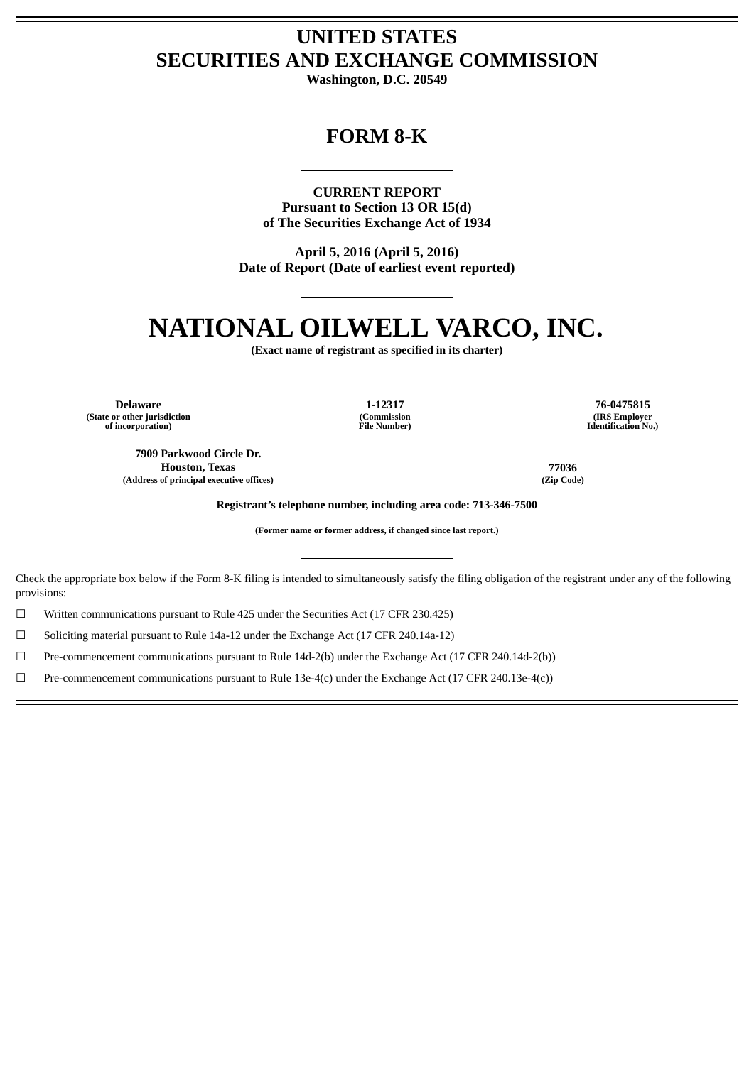## **UNITED STATES SECURITIES AND EXCHANGE COMMISSION**

**Washington, D.C. 20549**

### **FORM 8-K**

**CURRENT REPORT Pursuant to Section 13 OR 15(d) of The Securities Exchange Act of 1934**

**April 5, 2016 (April 5, 2016) Date of Report (Date of earliest event reported)**

# **NATIONAL OILWELL VARCO, INC.**

**(Exact name of registrant as specified in its charter)**

**(State or other jurisdiction of incorporation)**

**7909 Parkwood Circle Dr. Houston, Texas 77036 (Address of principal executive offices) (Zip Code)**

**(Commission File Number)**

**Delaware 1-12317 76-0475815 (IRS Employer Identification No.)**

**Registrant's telephone number, including area code: 713-346-7500**

**(Former name or former address, if changed since last report.)**

Check the appropriate box below if the Form 8-K filing is intended to simultaneously satisfy the filing obligation of the registrant under any of the following provisions:

☐ Written communications pursuant to Rule 425 under the Securities Act (17 CFR 230.425)

☐ Soliciting material pursuant to Rule 14a-12 under the Exchange Act (17 CFR 240.14a-12)

☐ Pre-commencement communications pursuant to Rule 14d-2(b) under the Exchange Act (17 CFR 240.14d-2(b))

☐ Pre-commencement communications pursuant to Rule 13e-4(c) under the Exchange Act (17 CFR 240.13e-4(c))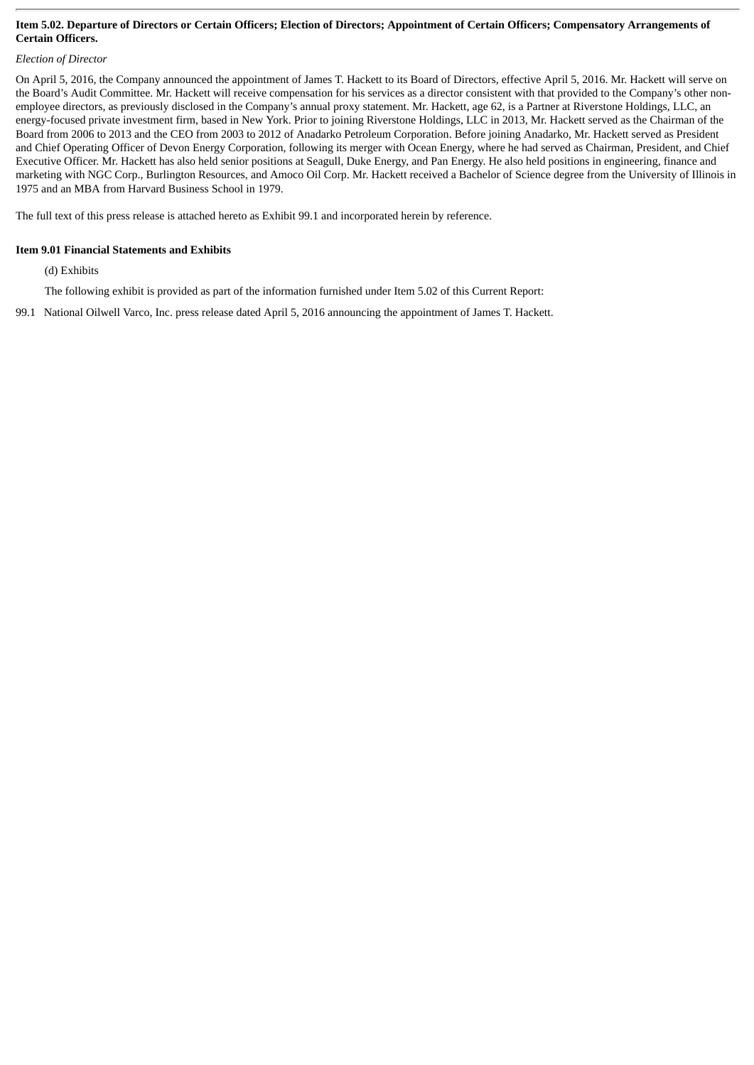#### Item 5.02. Departure of Directors or Certain Officers; Election of Directors; Appointment of Certain Officers; Compensatory Arrangements of **Certain Officers.**

#### *Election of Director*

On April 5, 2016, the Company announced the appointment of James T. Hackett to its Board of Directors, effective April 5, 2016. Mr. Hackett will serve on the Board's Audit Committee. Mr. Hackett will receive compensation for his services as a director consistent with that provided to the Company's other nonemployee directors, as previously disclosed in the Company's annual proxy statement. Mr. Hackett, age 62, is a Partner at Riverstone Holdings, LLC, an energy-focused private investment firm, based in New York. Prior to joining Riverstone Holdings, LLC in 2013, Mr. Hackett served as the Chairman of the Board from 2006 to 2013 and the CEO from 2003 to 2012 of Anadarko Petroleum Corporation. Before joining Anadarko, Mr. Hackett served as President and Chief Operating Officer of Devon Energy Corporation, following its merger with Ocean Energy, where he had served as Chairman, President, and Chief Executive Officer. Mr. Hackett has also held senior positions at Seagull, Duke Energy, and Pan Energy. He also held positions in engineering, finance and marketing with NGC Corp., Burlington Resources, and Amoco Oil Corp. Mr. Hackett received a Bachelor of Science degree from the University of Illinois in 1975 and an MBA from Harvard Business School in 1979.

The full text of this press release is attached hereto as Exhibit 99.1 and incorporated herein by reference.

#### **Item 9.01 Financial Statements and Exhibits**

(d) Exhibits

The following exhibit is provided as part of the information furnished under Item 5.02 of this Current Report:

99.1 National Oilwell Varco, Inc. press release dated April 5, 2016 announcing the appointment of James T. Hackett.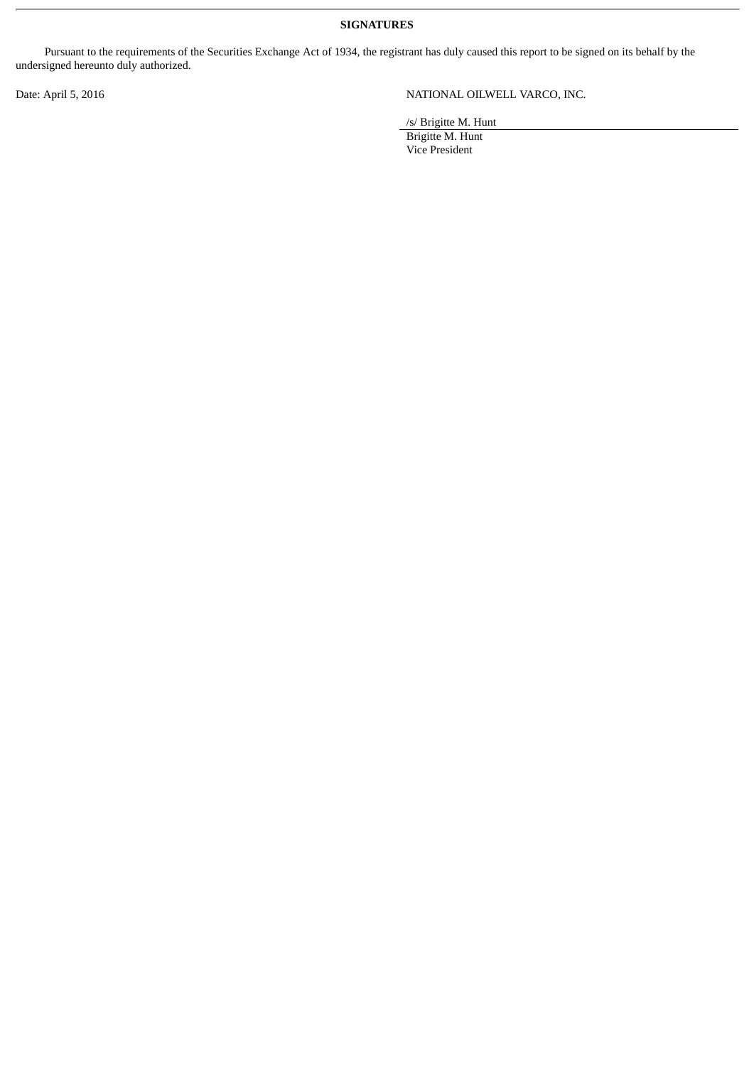**SIGNATURES**

Pursuant to the requirements of the Securities Exchange Act of 1934, the registrant has duly caused this report to be signed on its behalf by the undersigned hereunto duly authorized.

Date: April 5, 2016 NATIONAL OILWELL VARCO, INC.

/s/ Brigitte M. Hunt

Brigitte M. Hunt Vice President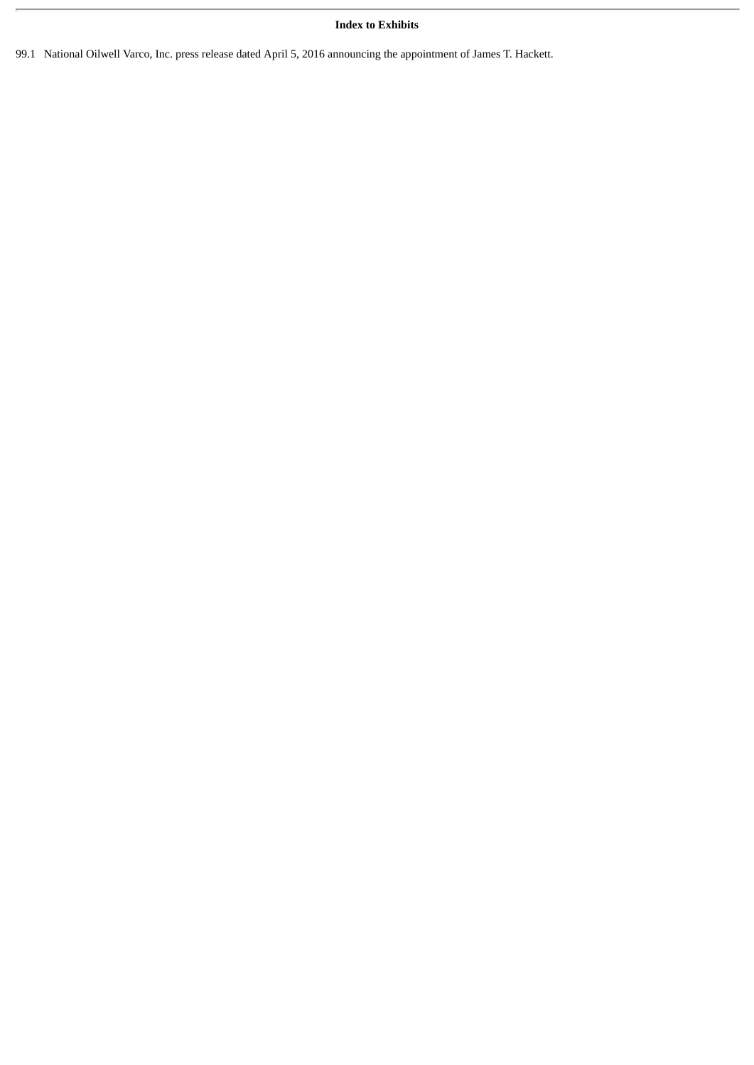#### **Index to Exhibits**

99.1 National Oilwell Varco, Inc. press release dated April 5, 2016 announcing the appointment of James T. Hackett.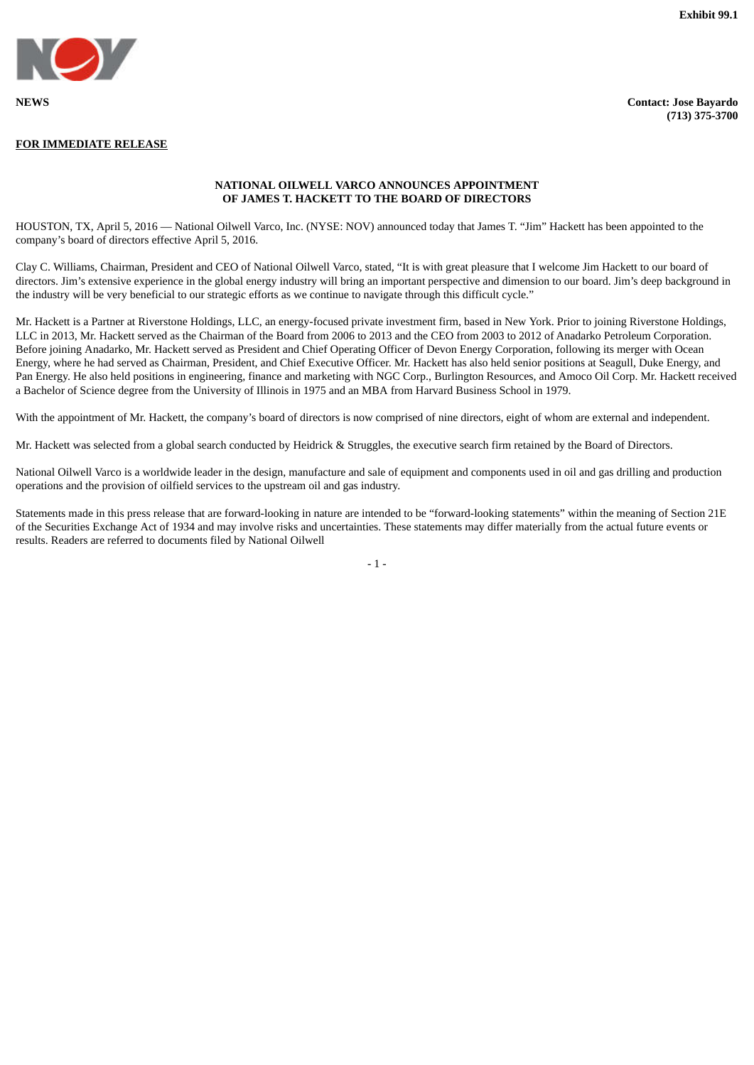

#### **FOR IMMEDIATE RELEASE**

**(713) 375-3700**

#### **NATIONAL OILWELL VARCO ANNOUNCES APPOINTMENT OF JAMES T. HACKETT TO THE BOARD OF DIRECTORS**

HOUSTON, TX, April 5, 2016 — National Oilwell Varco, Inc. (NYSE: NOV) announced today that James T. "Jim" Hackett has been appointed to the company's board of directors effective April 5, 2016.

Clay C. Williams, Chairman, President and CEO of National Oilwell Varco, stated, "It is with great pleasure that I welcome Jim Hackett to our board of directors. Jim's extensive experience in the global energy industry will bring an important perspective and dimension to our board. Jim's deep background in the industry will be very beneficial to our strategic efforts as we continue to navigate through this difficult cycle."

Mr. Hackett is a Partner at Riverstone Holdings, LLC, an energy-focused private investment firm, based in New York. Prior to joining Riverstone Holdings, LLC in 2013, Mr. Hackett served as the Chairman of the Board from 2006 to 2013 and the CEO from 2003 to 2012 of Anadarko Petroleum Corporation. Before joining Anadarko, Mr. Hackett served as President and Chief Operating Officer of Devon Energy Corporation, following its merger with Ocean Energy, where he had served as Chairman, President, and Chief Executive Officer. Mr. Hackett has also held senior positions at Seagull, Duke Energy, and Pan Energy. He also held positions in engineering, finance and marketing with NGC Corp., Burlington Resources, and Amoco Oil Corp. Mr. Hackett received a Bachelor of Science degree from the University of Illinois in 1975 and an MBA from Harvard Business School in 1979.

With the appointment of Mr. Hackett, the company's board of directors is now comprised of nine directors, eight of whom are external and independent.

Mr. Hackett was selected from a global search conducted by Heidrick & Struggles, the executive search firm retained by the Board of Directors.

National Oilwell Varco is a worldwide leader in the design, manufacture and sale of equipment and components used in oil and gas drilling and production operations and the provision of oilfield services to the upstream oil and gas industry.

Statements made in this press release that are forward-looking in nature are intended to be "forward-looking statements" within the meaning of Section 21E of the Securities Exchange Act of 1934 and may involve risks and uncertainties. These statements may differ materially from the actual future events or results. Readers are referred to documents filed by National Oilwell

 $- 1 -$